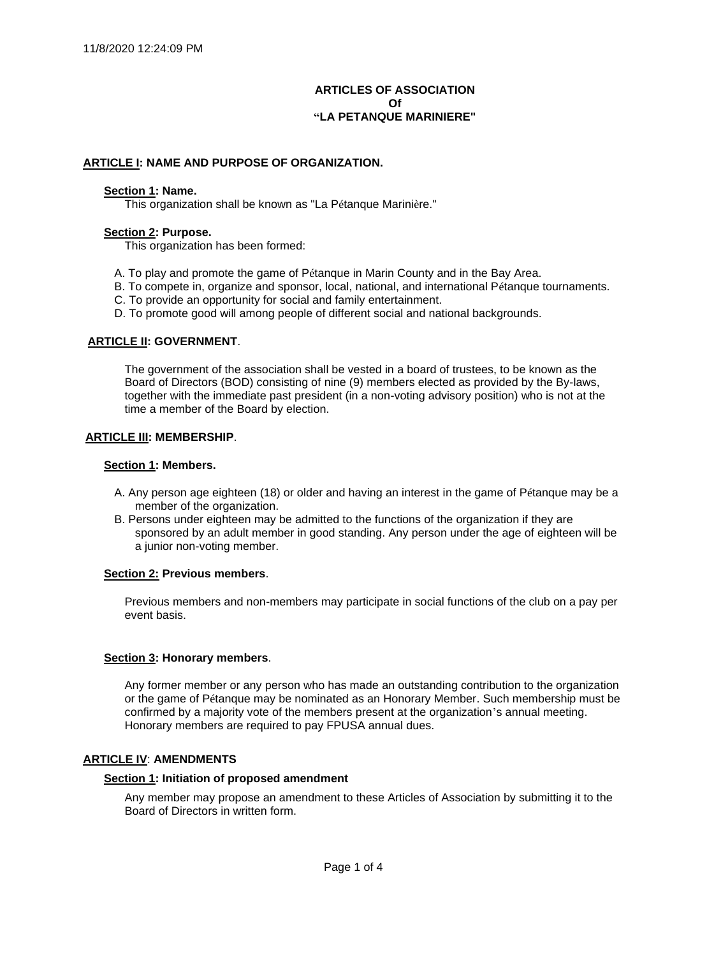# **ARTICLES OF ASSOCIATION Of "LA PETANQUE MARINIERE"**

## **ARTICLE I: NAME AND PURPOSE OF ORGANIZATION.**

#### **Section 1: Name.**

This organization shall be known as "La Pétanque Marinière."

#### **Section 2: Purpose.**

This organization has been formed:

- A. To play and promote the game of Pétanque in Marin County and in the Bay Area.
- B. To compete in, organize and sponsor, local, national, and international Pétanque tournaments.
- C. To provide an opportunity for social and family entertainment.
- D. To promote good will among people of different social and national backgrounds.

## **ARTICLE II: GOVERNMENT**.

The government of the association shall be vested in a board of trustees, to be known as the Board of Directors (BOD) consisting of nine (9) members elected as provided by the By-laws, together with the immediate past president (in a non-voting advisory position) who is not at the time a member of the Board by election.

#### **ARTICLE III: MEMBERSHIP**.

#### **Section 1: Members.**

- A. Any person age eighteen (18) or older and having an interest in the game of Pétanque may be a member of the organization.
- B. Persons under eighteen may be admitted to the functions of the organization if they are sponsored by an adult member in good standing. Any person under the age of eighteen will be a junior non-voting member.

#### **Section 2: Previous members**.

Previous members and non-members may participate in social functions of the club on a pay per event basis.

## **Section 3: Honorary members**.

Any former member or any person who has made an outstanding contribution to the organization or the game of Pétanque may be nominated as an Honorary Member. Such membership must be confirmed by a majority vote of the members present at the organization's annual meeting. Honorary members are required to pay FPUSA annual dues.

#### **ARTICLE IV**: **AMENDMENTS**

### **Section 1: Initiation of proposed amendment**

Any member may propose an amendment to these Articles of Association by submitting it to the Board of Directors in written form.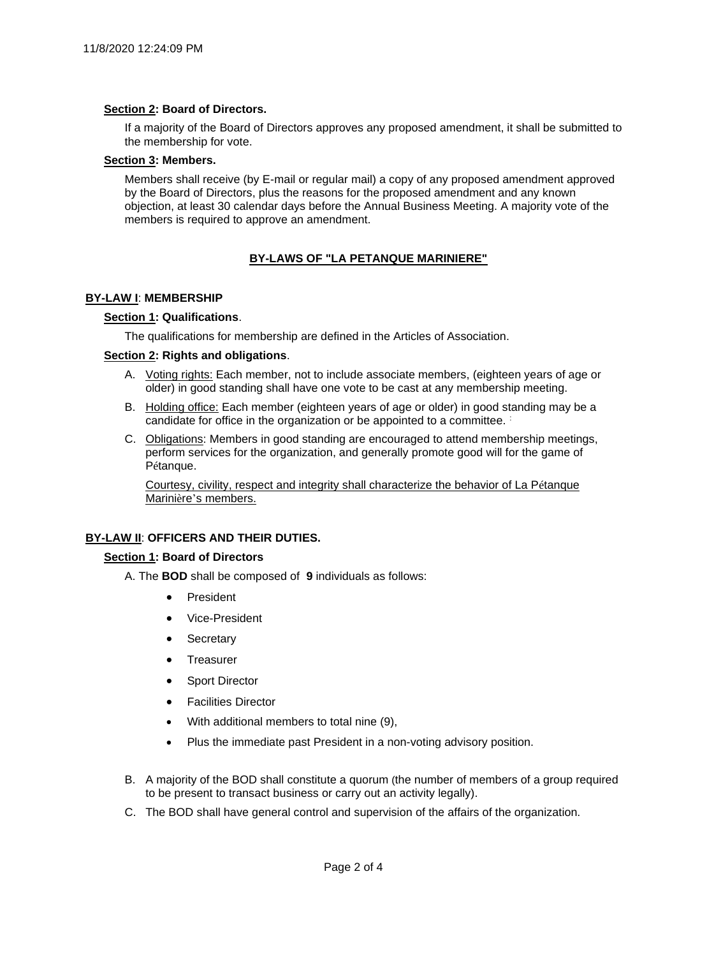### **Section 2: Board of Directors.**

If a majority of the Board of Directors approves any proposed amendment, it shall be submitted to the membership for vote.

### **Section 3: Members.**

Members shall receive (by E-mail or regular mail) a copy of any proposed amendment approved by the Board of Directors, plus the reasons for the proposed amendment and any known objection, at least 30 calendar days before the Annual Business Meeting. A majority vote of the members is required to approve an amendment.

# **BY-LAWS OF "LA PETANQUE MARINIERE"**

## **BY-LAW I**: **MEMBERSHIP**

## **Section 1: Qualifications**.

The qualifications for membership are defined in the Articles of Association.

### **Section 2: Rights and obligations**.

- A. Voting rights: Each member, not to include associate members, (eighteen years of age or older) in good standing shall have one vote to be cast at any membership meeting.
- B. Holding office: Each member (eighteen years of age or older) in good standing may be a candidate for office in the organization or be appointed to a committee. :
- C. Obligations: Members in good standing are encouraged to attend membership meetings, perform services for the organization, and generally promote good will for the game of Pétanque.

Courtesy, civility, respect and integrity shall characterize the behavior of La Pétanque Marinière's members.

## **BY-LAW II**: **OFFICERS AND THEIR DUTIES.**

## **Section 1: Board of Directors**

- A. The **BOD** shall be composed of **9** individuals as follows:
	- **President**
	- Vice-President
	- **Secretary**
	- **Treasurer**
	- Sport Director
	- Facilities Director
	- With additional members to total nine (9),
	- Plus the immediate past President in a non-voting advisory position.
- B. A majority of the BOD shall constitute a quorum (the number of members of a group required to be present to transact business or carry out an activity legally).
- C. The BOD shall have general control and supervision of the affairs of the organization.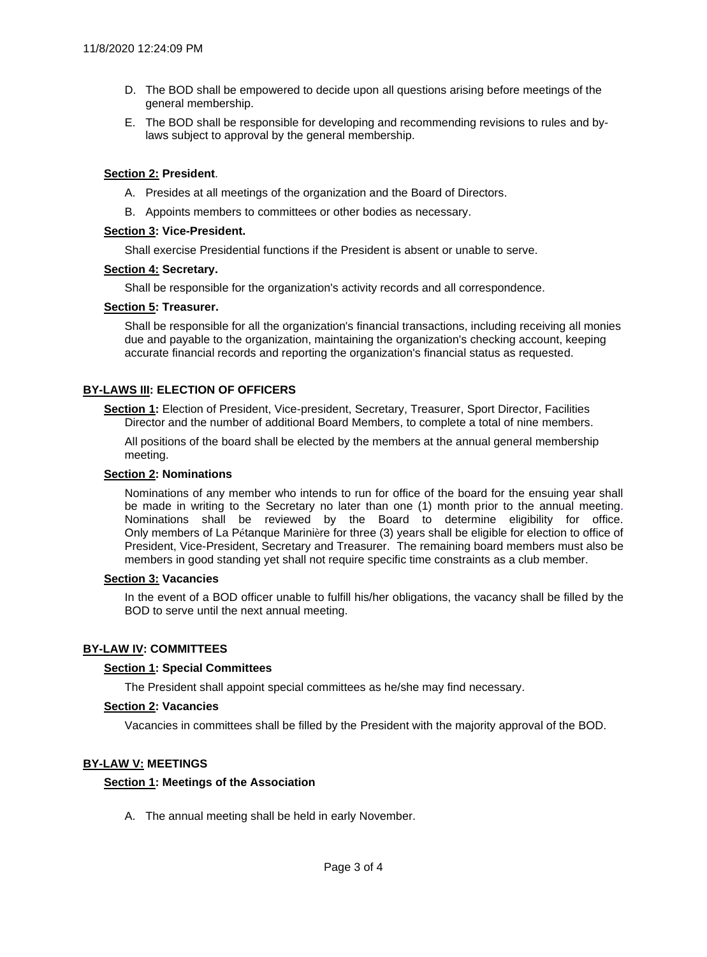- D. The BOD shall be empowered to decide upon all questions arising before meetings of the general membership.
- E. The BOD shall be responsible for developing and recommending revisions to rules and bylaws subject to approval by the general membership.

# **Section 2: President**.

- A. Presides at all meetings of the organization and the Board of Directors.
- B. Appoints members to committees or other bodies as necessary.

### **Section 3: Vice-President.**

Shall exercise Presidential functions if the President is absent or unable to serve.

### **Section 4: Secretary.**

Shall be responsible for the organization's activity records and all correspondence.

### **Section 5: Treasurer.**

Shall be responsible for all the organization's financial transactions, including receiving all monies due and payable to the organization, maintaining the organization's checking account, keeping accurate financial records and reporting the organization's financial status as requested.

## **BY-LAWS III: ELECTION OF OFFICERS**

**Section 1:** Election of President, Vice-president, Secretary, Treasurer, Sport Director, Facilities Director and the number of additional Board Members, to complete a total of nine members.

All positions of the board shall be elected by the members at the annual general membership meeting.

#### **Section 2: Nominations**

Nominations of any member who intends to run for office of the board for the ensuing year shall be made in writing to the Secretary no later than one (1) month prior to the annual meeting. Nominations shall be reviewed by the Board to determine eligibility for office. Only members of La Pétanque Marinière for three (3) years shall be eligible for election to office of President, Vice-President, Secretary and Treasurer. The remaining board members must also be members in good standing yet shall not require specific time constraints as a club member.

#### **Section 3: Vacancies**

In the event of a BOD officer unable to fulfill his/her obligations, the vacancy shall be filled by the BOD to serve until the next annual meeting.

## **BY-LAW IV: COMMITTEES**

#### **Section 1: Special Committees**

The President shall appoint special committees as he/she may find necessary.

### **Section 2: Vacancies**

Vacancies in committees shall be filled by the President with the majority approval of the BOD.

## **BY-LAW V: MEETINGS**

#### **Section 1: Meetings of the Association**

A. The annual meeting shall be held in early November.